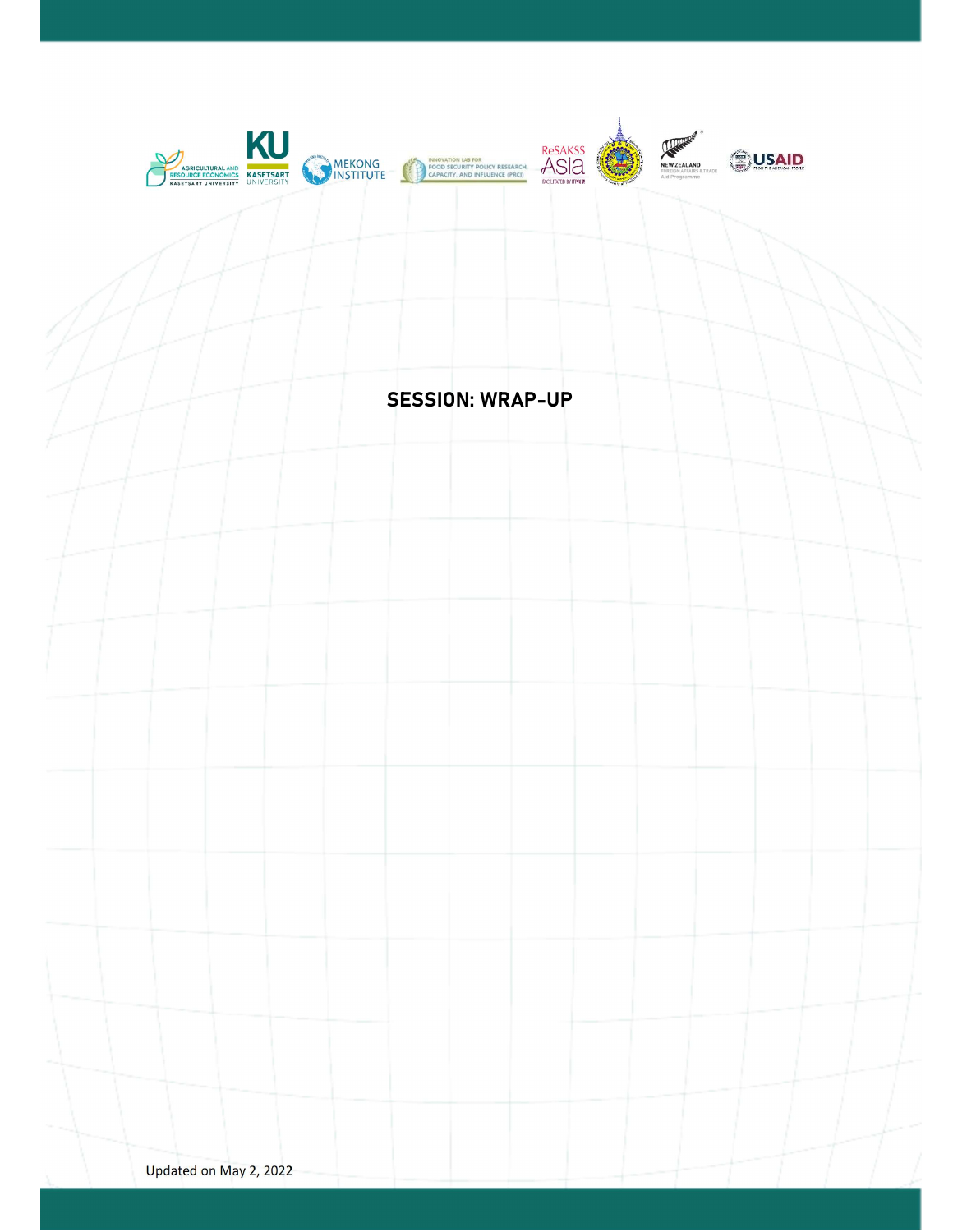